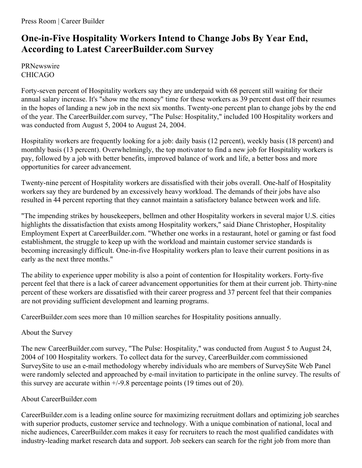## **One-in-Five Hospitality Workers Intend to Change Jobs By Year End, According to Latest CareerBuilder.com Survey**

PRNewswire CHICAGO

Forty-seven percent of Hospitality workers say they are underpaid with 68 percent still waiting for their annual salary increase. It's "show me the money" time for these workers as 39 percent dust off their resumes in the hopes of landing a new job in the next six months. Twenty-one percent plan to change jobs by the end of the year. The CareerBuilder.com survey, "The Pulse: Hospitality," included 100 Hospitality workers and was conducted from August 5, 2004 to August 24, 2004.

Hospitality workers are frequently looking for a job: daily basis (12 percent), weekly basis (18 percent) and monthly basis (13 percent). Overwhelmingly, the top motivator to find a new job for Hospitality workers is pay, followed by a job with better benefits, improved balance of work and life, a better boss and more opportunities for career advancement.

Twenty-nine percent of Hospitality workers are dissatisfied with their jobs overall. One-half of Hospitality workers say they are burdened by an excessively heavy workload. The demands of their jobs have also resulted in 44 percent reporting that they cannot maintain a satisfactory balance between work and life.

"The impending strikes by housekeepers, bellmen and other Hospitality workers in several major U.S. cities highlights the dissatisfaction that exists among Hospitality workers," said Diane Christopher, Hospitality Employment Expert at CareerBuilder.com. "Whether one works in a restaurant, hotel or gaming or fast food establishment, the struggle to keep up with the workload and maintain customer service standards is becoming increasingly difficult. One-in-five Hospitality workers plan to leave their current positions in as early as the next three months."

The ability to experience upper mobility is also a point of contention for Hospitality workers. Forty-five percent feel that there is a lack of career advancement opportunities for them at their current job. Thirty-nine percent of these workers are dissatisfied with their career progress and 37 percent feel that their companies are not providing sufficient development and learning programs.

CareerBuilder.com sees more than 10 million searches for Hospitality positions annually.

## About the Survey

The new CareerBuilder.com survey, "The Pulse: Hospitality," was conducted from August 5 to August 24, 2004 of 100 Hospitality workers. To collect data for the survey, CareerBuilder.com commissioned SurveySite to use an e-mail methodology whereby individuals who are members of SurveySite Web Panel were randomly selected and approached by e-mail invitation to participate in the online survey. The results of this survey are accurate within  $+/-9.8$  percentage points (19 times out of 20).

## About CareerBuilder.com

CareerBuilder.com is a leading online source for maximizing recruitment dollars and optimizing job searches with superior products, customer service and technology. With a unique combination of national, local and niche audiences, CareerBuilder.com makes it easy for recruiters to reach the most qualified candidates with industry-leading market research data and support. Job seekers can search for the right job from more than